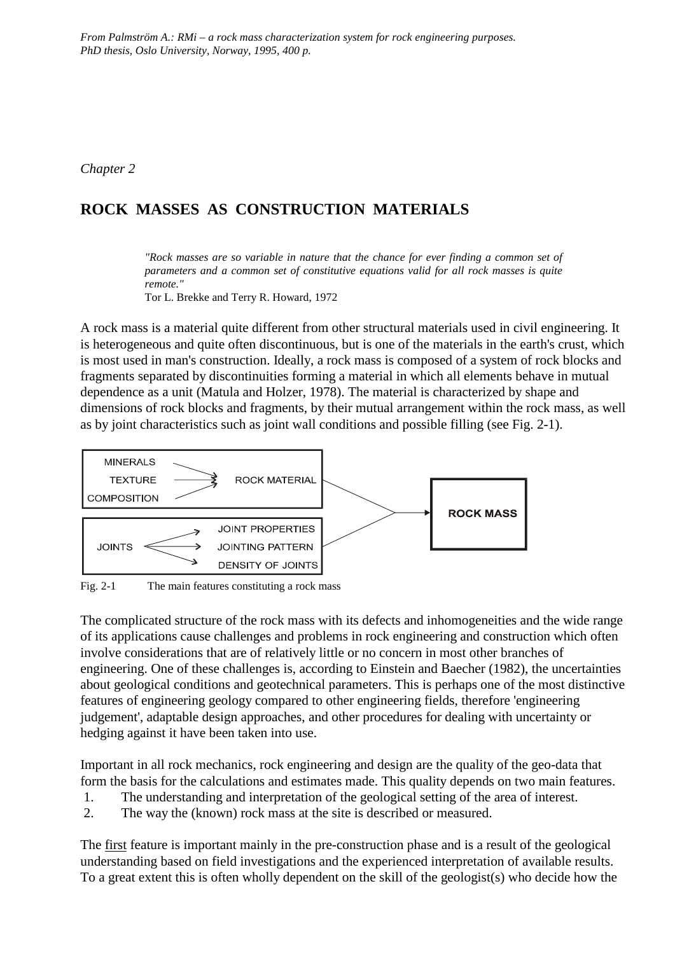*Chapter 2*

# **ROCK MASSES AS CONSTRUCTION MATERIALS**

*"Rock masses are so variable in nature that the chance for ever finding a common set of parameters and a common set of constitutive equations valid for all rock masses is quite remote."*

Tor L. Brekke and Terry R. Howard, 1972

A rock mass is a material quite different from other structural materials used in civil engineering. It is heterogeneous and quite often discontinuous, but is one of the materials in the earth's crust, which is most used in man's construction. Ideally, a rock mass is composed of a system of rock blocks and fragments separated by discontinuities forming a material in which all elements behave in mutual dependence as a unit (Matula and Holzer, 1978). The material is characterized by shape and dimensions of rock blocks and fragments, by their mutual arrangement within the rock mass, as well as by joint characteristics such as joint wall conditions and possible filling (see Fig. 2-1).



Fig. 2-1 The main features constituting a rock mass

The complicated structure of the rock mass with its defects and inhomogeneities and the wide range of its applications cause challenges and problems in rock engineering and construction which often involve considerations that are of relatively little or no concern in most other branches of engineering. One of these challenges is, according to Einstein and Baecher (1982), the uncertainties about geological conditions and geotechnical parameters. This is perhaps one of the most distinctive features of engineering geology compared to other engineering fields, therefore 'engineering judgement', adaptable design approaches, and other procedures for dealing with uncertainty or hedging against it have been taken into use.

Important in all rock mechanics, rock engineering and design are the quality of the geo-data that form the basis for the calculations and estimates made. This quality depends on two main features.

- 1. The understanding and interpretation of the geological setting of the area of interest.
- 2. The way the (known) rock mass at the site is described or measured.

The first feature is important mainly in the pre-construction phase and is a result of the geological understanding based on field investigations and the experienced interpretation of available results. To a great extent this is often wholly dependent on the skill of the geologist(s) who decide how the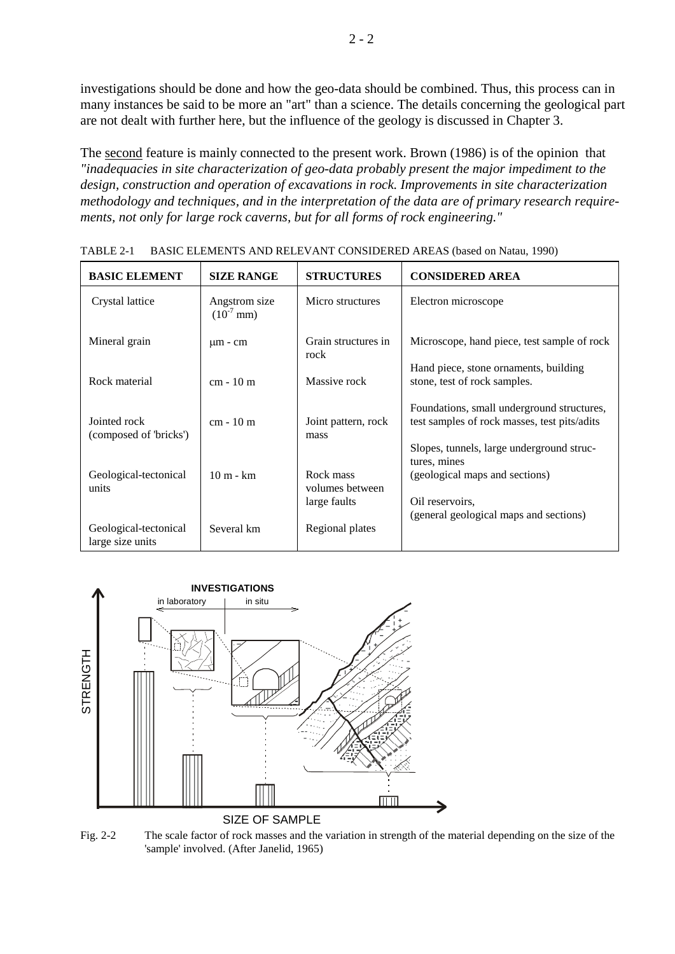investigations should be done and how the geo-data should be combined. Thus, this process can in many instances be said to be more an "art" than a science. The details concerning the geological part are not dealt with further here, but the influence of the geology is discussed in Chapter 3.

The second feature is mainly connected to the present work. Brown (1986) is of the opinion that *"inadequacies in site characterization of geo-data probably present the major impediment to the design, construction and operation of excavations in rock. Improvements in site characterization methodology and techniques, and in the interpretation of the data are of primary research requirements, not only for large rock caverns, but for all forms of rock engineering."*

| <b>BASIC ELEMENT</b>                      | <b>SIZE RANGE</b>               | <b>STRUCTURES</b>                            | <b>CONSIDERED AREA</b>                                                                                                                  |
|-------------------------------------------|---------------------------------|----------------------------------------------|-----------------------------------------------------------------------------------------------------------------------------------------|
| Crystal lattice                           | Angstrom size<br>$(10^{-7}$ mm) | Micro structures                             | Electron microscope                                                                                                                     |
| Mineral grain                             | $\mu$ m - cm                    | Grain structures in<br>rock                  | Microscope, hand piece, test sample of rock                                                                                             |
| Rock material                             | $cm - 10 m$                     | Massive rock                                 | Hand piece, stone ornaments, building<br>stone, test of rock samples.                                                                   |
| Jointed rock<br>(composed of 'bricks')    | $cm - 10 m$                     | Joint pattern, rock<br>mass                  | Foundations, small underground structures,<br>test samples of rock masses, test pits/adits<br>Slopes, tunnels, large underground struc- |
| Geological-tectonical<br>units            | $10 \text{ m}$ - $\text{km}$    | Rock mass<br>volumes between<br>large faults | tures, mines<br>(geological maps and sections)<br>Oil reservoirs.<br>(general geological maps and sections)                             |
| Geological-tectonical<br>large size units | Several km                      | Regional plates                              |                                                                                                                                         |

TABLE 2-1 BASIC ELEMENTS AND RELEVANT CONSIDERED AREAS (based on Natau, 1990)



Fig. 2-2 The scale factor of rock masses and the variation in strength of the material depending on the size of the 'sample' involved. (After Janelid, 1965)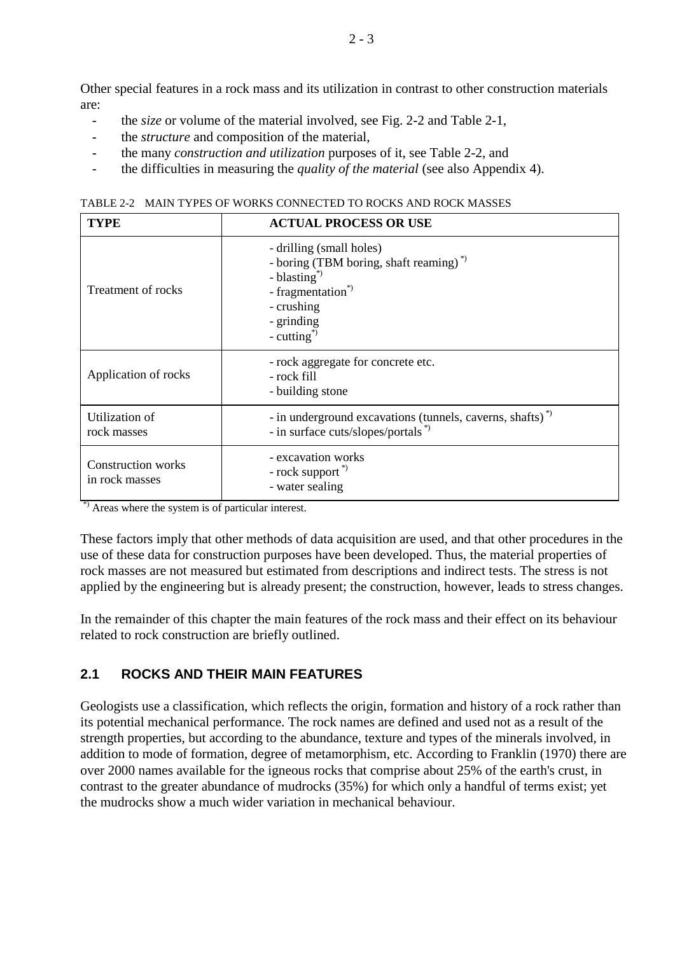Other special features in a rock mass and its utilization in contrast to other construction materials are:

- the *size* or volume of the material involved, see Fig. 2-2 and Table 2-1,
- the *structure* and composition of the material.
- the many *construction and utilization* purposes of it, see Table 2-2, and
- the difficulties in measuring the *quality of the material* (see also Appendix 4).

TABLE 2-2 MAIN TYPES OF WORKS CONNECTED TO ROCKS AND ROCK MASSES

| <b>TYPE</b>                                 | <b>ACTUAL PROCESS OR USE</b>                                                                                                                                                                   |  |  |  |  |  |
|---------------------------------------------|------------------------------------------------------------------------------------------------------------------------------------------------------------------------------------------------|--|--|--|--|--|
| Treatment of rocks                          | - drilling (small holes)<br>- boring (TBM boring, shaft reaming) <sup>*</sup><br>- blasting <sup>*</sup><br>- fragmentation <sup>*</sup><br>- crushing<br>- grinding<br>- cutting <sup>*</sup> |  |  |  |  |  |
| Application of rocks                        | - rock aggregate for concrete etc.<br>- rock fill<br>- building stone                                                                                                                          |  |  |  |  |  |
| Utilization of<br>rock masses               | - in underground excavations (tunnels, caverns, shafts) <sup>*</sup><br>- in surface cuts/slopes/portals <sup>*)</sup>                                                                         |  |  |  |  |  |
| <b>Construction works</b><br>in rock masses | - excavation works<br>- rock support <sup>*</sup><br>- water sealing                                                                                                                           |  |  |  |  |  |

\*) Areas where the system is of particular interest.

These factors imply that other methods of data acquisition are used, and that other procedures in the use of these data for construction purposes have been developed. Thus, the material properties of rock masses are not measured but estimated from descriptions and indirect tests. The stress is not applied by the engineering but is already present; the construction, however, leads to stress changes.

In the remainder of this chapter the main features of the rock mass and their effect on its behaviour related to rock construction are briefly outlined.

# **2.1 ROCKS AND THEIR MAIN FEATURES**

Geologists use a classification, which reflects the origin, formation and history of a rock rather than its potential mechanical performance. The rock names are defined and used not as a result of the strength properties, but according to the abundance, texture and types of the minerals involved, in addition to mode of formation, degree of metamorphism, etc. According to Franklin (1970) there are over 2000 names available for the igneous rocks that comprise about 25% of the earth's crust, in contrast to the greater abundance of mudrocks (35%) for which only a handful of terms exist; yet the mudrocks show a much wider variation in mechanical behaviour.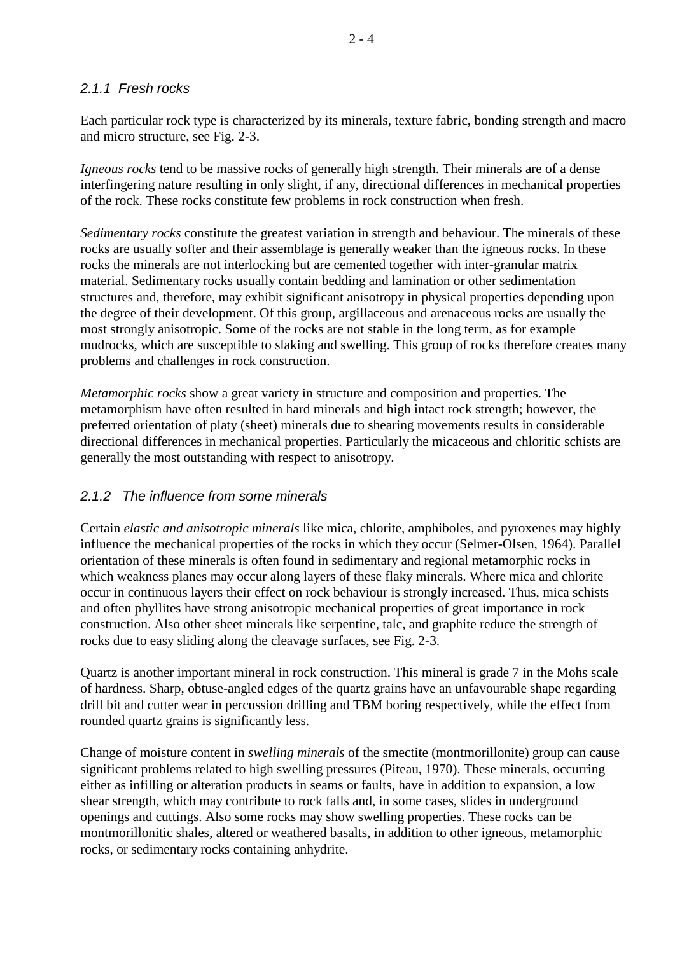### *2.1.1 Fresh rocks*

Each particular rock type is characterized by its minerals, texture fabric, bonding strength and macro and micro structure, see Fig. 2-3.

*Igneous rocks* tend to be massive rocks of generally high strength. Their minerals are of a dense interfingering nature resulting in only slight, if any, directional differences in mechanical properties of the rock. These rocks constitute few problems in rock construction when fresh.

*Sedimentary rocks* constitute the greatest variation in strength and behaviour. The minerals of these rocks are usually softer and their assemblage is generally weaker than the igneous rocks. In these rocks the minerals are not interlocking but are cemented together with inter-granular matrix material. Sedimentary rocks usually contain bedding and lamination or other sedimentation structures and, therefore, may exhibit significant anisotropy in physical properties depending upon the degree of their development. Of this group, argillaceous and arenaceous rocks are usually the most strongly anisotropic. Some of the rocks are not stable in the long term, as for example mudrocks, which are susceptible to slaking and swelling. This group of rocks therefore creates many problems and challenges in rock construction.

*Metamorphic rocks* show a great variety in structure and composition and properties. The metamorphism have often resulted in hard minerals and high intact rock strength; however, the preferred orientation of platy (sheet) minerals due to shearing movements results in considerable directional differences in mechanical properties. Particularly the micaceous and chloritic schists are generally the most outstanding with respect to anisotropy.

# *2.1.2 The influence from some minerals*

Certain *elastic and anisotropic minerals* like mica, chlorite, amphiboles, and pyroxenes may highly influence the mechanical properties of the rocks in which they occur (Selmer-Olsen, 1964). Parallel orientation of these minerals is often found in sedimentary and regional metamorphic rocks in which weakness planes may occur along layers of these flaky minerals. Where mica and chlorite occur in continuous layers their effect on rock behaviour is strongly increased. Thus, mica schists and often phyllites have strong anisotropic mechanical properties of great importance in rock construction. Also other sheet minerals like serpentine, talc, and graphite reduce the strength of rocks due to easy sliding along the cleavage surfaces, see Fig. 2-3.

Quartz is another important mineral in rock construction. This mineral is grade 7 in the Mohs scale of hardness. Sharp, obtuse-angled edges of the quartz grains have an unfavourable shape regarding drill bit and cutter wear in percussion drilling and TBM boring respectively, while the effect from rounded quartz grains is significantly less.

Change of moisture content in *swelling minerals* of the smectite (montmorillonite) group can cause significant problems related to high swelling pressures (Piteau, 1970). These minerals, occurring either as infilling or alteration products in seams or faults, have in addition to expansion, a low shear strength, which may contribute to rock falls and, in some cases, slides in underground openings and cuttings. Also some rocks may show swelling properties. These rocks can be montmorillonitic shales, altered or weathered basalts, in addition to other igneous, metamorphic rocks, or sedimentary rocks containing anhydrite.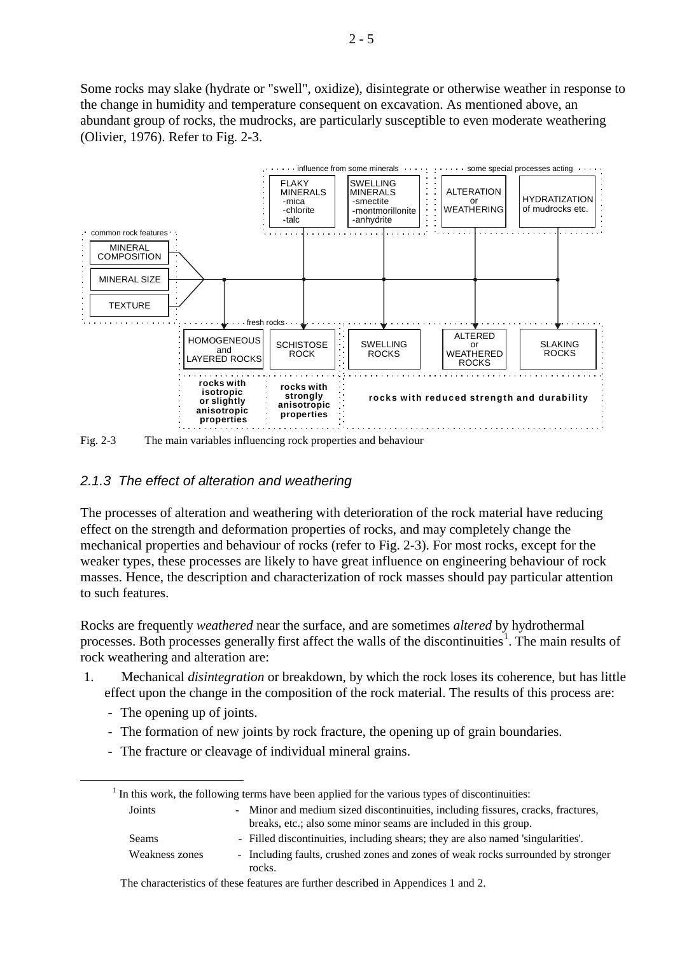Some rocks may slake (hydrate or "swell", oxidize), disintegrate or otherwise weather in response to the change in humidity and temperature consequent on excavation. As mentioned above, an abundant group of rocks, the mudrocks, are particularly susceptible to even moderate weathering (Olivier, 1976). Refer to Fig. 2-3.



Fig. 2-3 The main variables influencing rock properties and behaviour

#### *2.1.3 The effect of alteration and weathering*

The processes of alteration and weathering with deterioration of the rock material have reducing effect on the strength and deformation properties of rocks, and may completely change the mechanical properties and behaviour of rocks (refer to Fig. 2-3). For most rocks, except for the weaker types, these processes are likely to have great influence on engineering behaviour of rock masses. Hence, the description and characterization of rock masses should pay particular attention to such features.

Rocks are frequently *weathered* near the surface, and are sometimes *altered* by hydrothermal processes. Both processes generally first affect the walls of the discontinuities<sup>[1](#page-4-0)</sup>. The main results of rock weathering and alteration are:

- 1. Mechanical *disintegration* or breakdown, by which the rock loses its coherence, but has little effect upon the change in the composition of the rock material. The results of this process are:
	- The opening up of joints.
	- The formation of new joints by rock fracture, the opening up of grain boundaries.
	- The fracture or cleavage of individual mineral grains.

<span id="page-4-0"></span>

|                | If In this work, the following terms have been applied for the various types of discontinuities:                                                    |
|----------------|-----------------------------------------------------------------------------------------------------------------------------------------------------|
| Joints         | - Minor and medium sized discontinuities, including fissures, cracks, fractures,<br>breaks, etc.; also some minor seams are included in this group. |
| Seams          | - Filled discontinuities, including shears; they are also named 'singularities'.                                                                    |
| Weakness zones | - Including faults, crushed zones and zones of weak rocks surrounded by stronger<br>rocks.                                                          |

The characteristics of these features are further described in Appendices 1 and 2.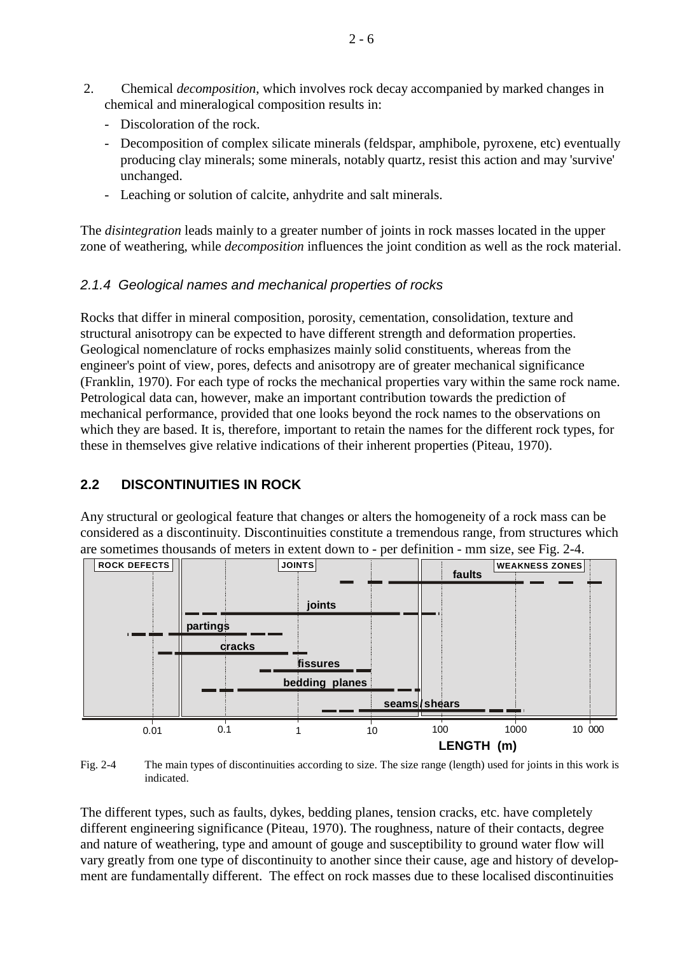- 2. Chemical *decomposition*, which involves rock decay accompanied by marked changes in chemical and mineralogical composition results in:
	- Discoloration of the rock.
	- Decomposition of complex silicate minerals (feldspar, amphibole, pyroxene, etc) eventually producing clay minerals; some minerals, notably quartz, resist this action and may 'survive' unchanged.
	- Leaching or solution of calcite, anhydrite and salt minerals.

The *disintegration* leads mainly to a greater number of joints in rock masses located in the upper zone of weathering, while *decomposition* influences the joint condition as well as the rock material.

# *2.1.4 Geological names and mechanical properties of rocks*

Rocks that differ in mineral composition, porosity, cementation, consolidation, texture and structural anisotropy can be expected to have different strength and deformation properties. Geological nomenclature of rocks emphasizes mainly solid constituents, whereas from the engineer's point of view, pores, defects and anisotropy are of greater mechanical significance (Franklin, 1970). For each type of rocks the mechanical properties vary within the same rock name. Petrological data can, however, make an important contribution towards the prediction of mechanical performance, provided that one looks beyond the rock names to the observations on which they are based. It is, therefore, important to retain the names for the different rock types, for these in themselves give relative indications of their inherent properties (Piteau, 1970).

# **2.2 DISCONTINUITIES IN ROCK**

Any structural or geological feature that changes or alters the homogeneity of a rock mass can be considered as a discontinuity. Discontinuities constitute a tremendous range, from structures which are sometimes thousands of meters in extent down to - per definition - mm size, see Fig. 2-4.



Fig. 2-4 The main types of discontinuities according to size. The size range (length) used for joints in this work is indicated.

The different types, such as faults, dykes, bedding planes, tension cracks, etc. have completely different engineering significance (Piteau, 1970). The roughness, nature of their contacts, degree and nature of weathering, type and amount of gouge and susceptibility to ground water flow will vary greatly from one type of discontinuity to another since their cause, age and history of development are fundamentally different. The effect on rock masses due to these localised discontinuities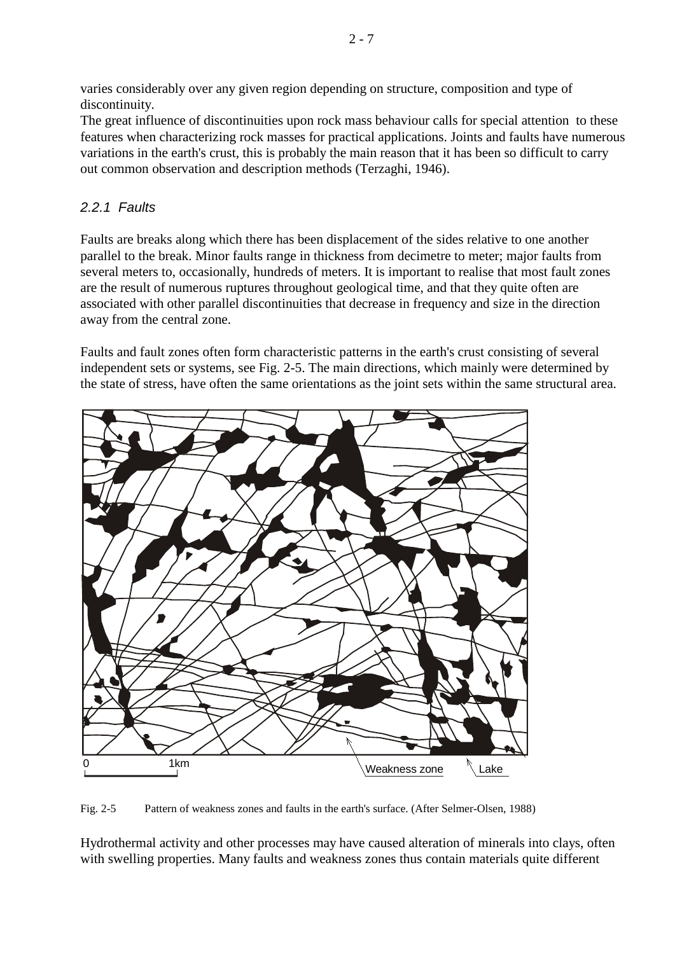varies considerably over any given region depending on structure, composition and type of discontinuity.

The great influence of discontinuities upon rock mass behaviour calls for special attention to these features when characterizing rock masses for practical applications. Joints and faults have numerous variations in the earth's crust, this is probably the main reason that it has been so difficult to carry out common observation and description methods (Terzaghi, 1946).

# *2.2.1 Faults*

Faults are breaks along which there has been displacement of the sides relative to one another parallel to the break. Minor faults range in thickness from decimetre to meter; major faults from several meters to, occasionally, hundreds of meters. It is important to realise that most fault zones are the result of numerous ruptures throughout geological time, and that they quite often are associated with other parallel discontinuities that decrease in frequency and size in the direction away from the central zone.

Faults and fault zones often form characteristic patterns in the earth's crust consisting of several independent sets or systems, see Fig. 2-5. The main directions, which mainly were determined by the state of stress, have often the same orientations as the joint sets within the same structural area.



Fig. 2-5 Pattern of weakness zones and faults in the earth's surface. (After Selmer-Olsen, 1988)

Hydrothermal activity and other processes may have caused alteration of minerals into clays, often with swelling properties. Many faults and weakness zones thus contain materials quite different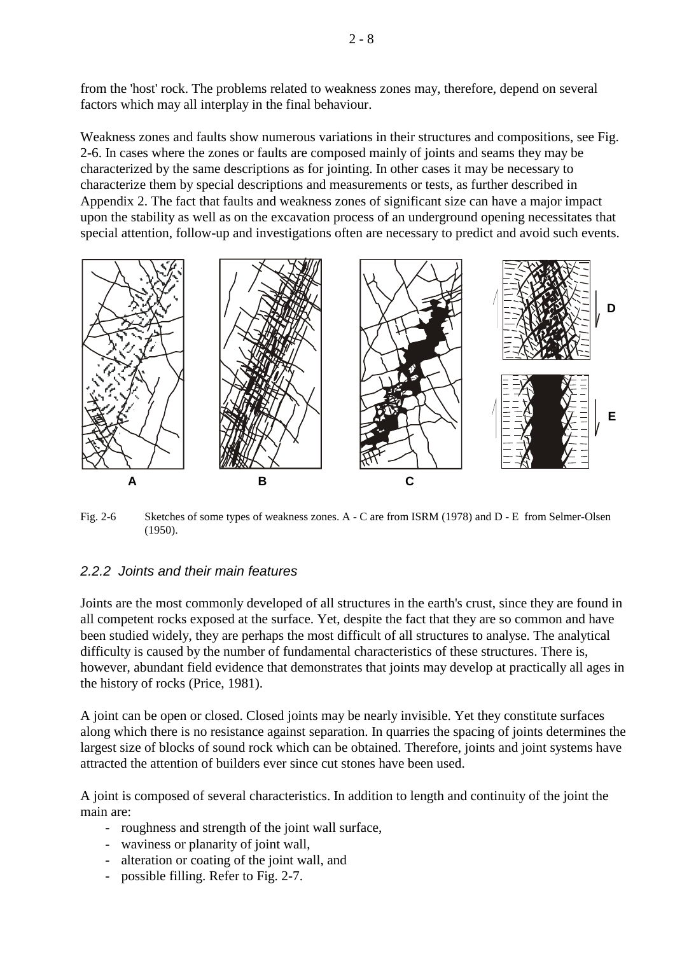from the 'host' rock. The problems related to weakness zones may, therefore, depend on several factors which may all interplay in the final behaviour.

Weakness zones and faults show numerous variations in their structures and compositions, see Fig. 2-6. In cases where the zones or faults are composed mainly of joints and seams they may be characterized by the same descriptions as for jointing. In other cases it may be necessary to characterize them by special descriptions and measurements or tests, as further described in Appendix 2. The fact that faults and weakness zones of significant size can have a major impact upon the stability as well as on the excavation process of an underground opening necessitates that special attention, follow-up and investigations often are necessary to predict and avoid such events.



Fig. 2-6 Sketches of some types of weakness zones. A - C are from ISRM (1978) and D - E from Selmer-Olsen (1950).

### *2.2.2 Joints and their main features*

Joints are the most commonly developed of all structures in the earth's crust, since they are found in all competent rocks exposed at the surface. Yet, despite the fact that they are so common and have been studied widely, they are perhaps the most difficult of all structures to analyse. The analytical difficulty is caused by the number of fundamental characteristics of these structures. There is, however, abundant field evidence that demonstrates that joints may develop at practically all ages in the history of rocks (Price, 1981).

A joint can be open or closed. Closed joints may be nearly invisible. Yet they constitute surfaces along which there is no resistance against separation. In quarries the spacing of joints determines the largest size of blocks of sound rock which can be obtained. Therefore, joints and joint systems have attracted the attention of builders ever since cut stones have been used.

A joint is composed of several characteristics. In addition to length and continuity of the joint the main are:

- roughness and strength of the joint wall surface,
- waviness or planarity of joint wall,
- alteration or coating of the joint wall, and
- possible filling. Refer to Fig. 2-7.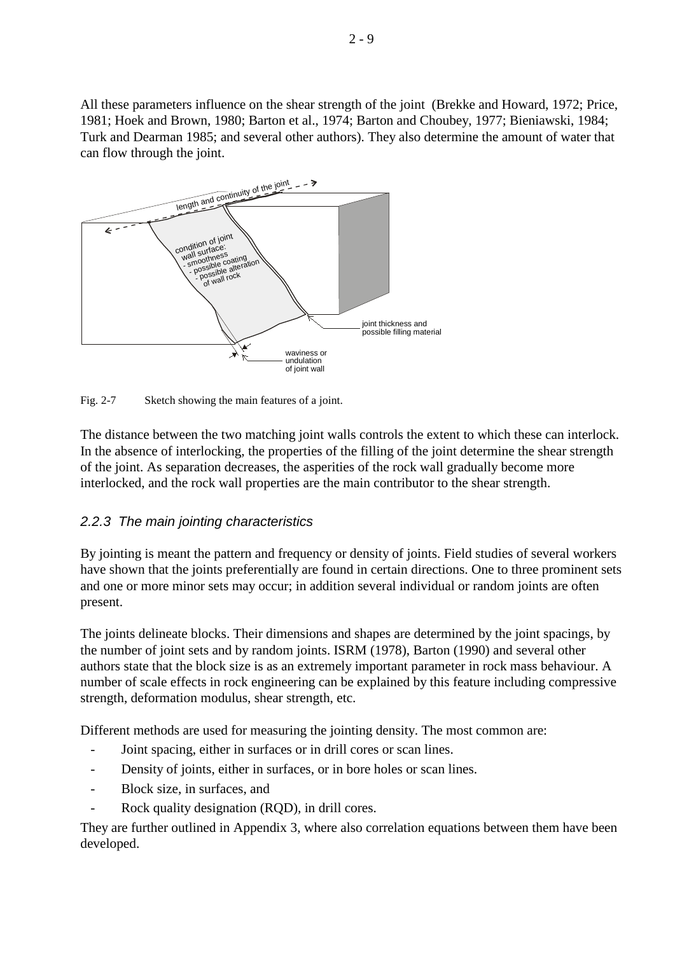All these parameters influence on the shear strength of the joint (Brekke and Howard, 1972; Price, 1981; Hoek and Brown, 1980; Barton et al., 1974; Barton and Choubey, 1977; Bieniawski, 1984; Turk and Dearman 1985; and several other authors). They also determine the amount of water that can flow through the joint.



Fig. 2-7 Sketch showing the main features of a joint.

The distance between the two matching joint walls controls the extent to which these can interlock. In the absence of interlocking, the properties of the filling of the joint determine the shear strength of the joint. As separation decreases, the asperities of the rock wall gradually become more interlocked, and the rock wall properties are the main contributor to the shear strength.

# *2.2.3 The main jointing characteristics*

By jointing is meant the pattern and frequency or density of joints. Field studies of several workers have shown that the joints preferentially are found in certain directions. One to three prominent sets and one or more minor sets may occur; in addition several individual or random joints are often present.

The joints delineate blocks. Their dimensions and shapes are determined by the joint spacings, by the number of joint sets and by random joints. ISRM (1978), Barton (1990) and several other authors state that the block size is as an extremely important parameter in rock mass behaviour. A number of scale effects in rock engineering can be explained by this feature including compressive strength, deformation modulus, shear strength, etc.

Different methods are used for measuring the jointing density. The most common are:

- Joint spacing, either in surfaces or in drill cores or scan lines.
- Density of joints, either in surfaces, or in bore holes or scan lines.
- Block size, in surfaces, and
- Rock quality designation (RQD), in drill cores.

They are further outlined in Appendix 3, where also correlation equations between them have been developed.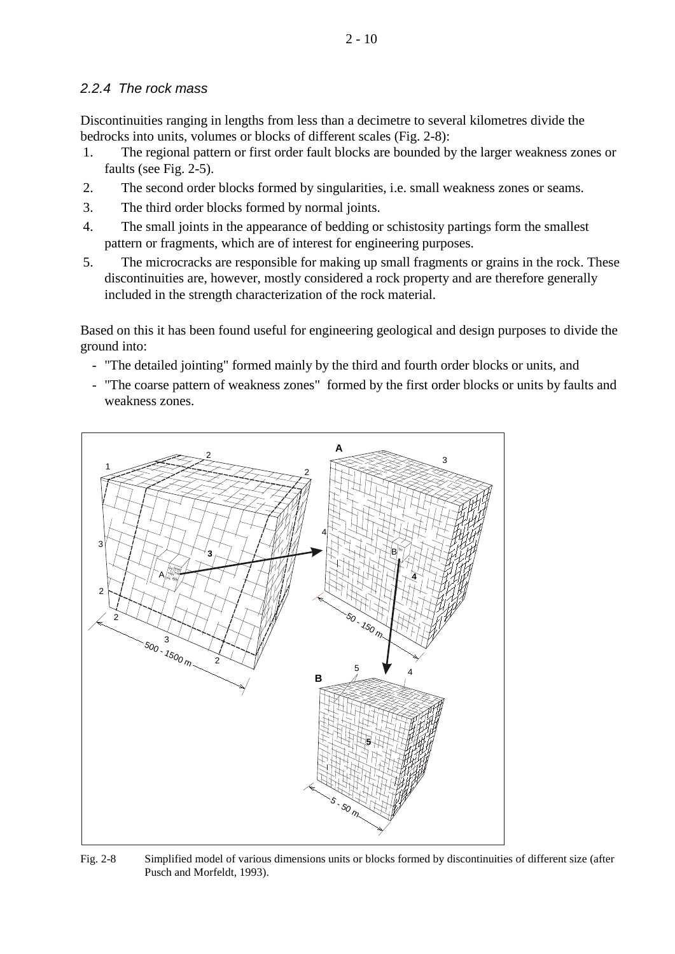# *2.2.4 The rock mass*

Discontinuities ranging in lengths from less than a decimetre to several kilometres divide the bedrocks into units, volumes or blocks of different scales (Fig. 2-8):

- 1. The regional pattern or first order fault blocks are bounded by the larger weakness zones or faults (see Fig. 2-5).
- 2. The second order blocks formed by singularities, i.e. small weakness zones or seams.
- 3. The third order blocks formed by normal joints.
- 4. The small joints in the appearance of bedding or schistosity partings form the smallest pattern or fragments, which are of interest for engineering purposes.
- 5. The microcracks are responsible for making up small fragments or grains in the rock. These discontinuities are, however, mostly considered a rock property and are therefore generally included in the strength characterization of the rock material.

Based on this it has been found useful for engineering geological and design purposes to divide the ground into:

- "The detailed jointing" formed mainly by the third and fourth order blocks or units, and
- "The coarse pattern of weakness zones" formed by the first order blocks or units by faults and weakness zones.



Fig. 2-8 Simplified model of various dimensions units or blocks formed by discontinuities of different size (after Pusch and Morfeldt, 1993).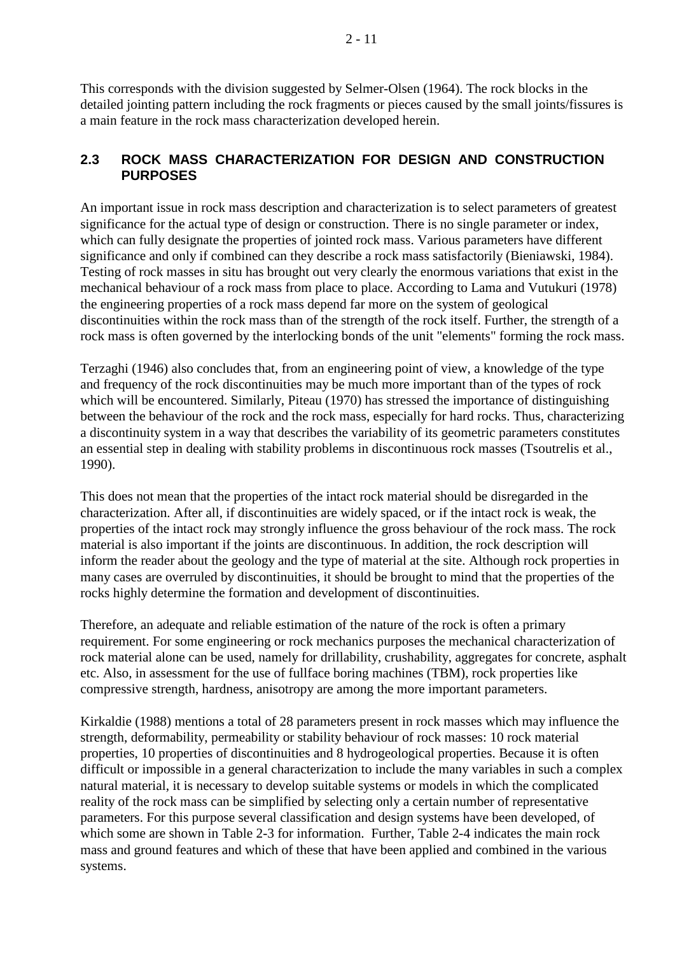This corresponds with the division suggested by Selmer-Olsen (1964). The rock blocks in the detailed jointing pattern including the rock fragments or pieces caused by the small joints/fissures is a main feature in the rock mass characterization developed herein.

### **2.3 ROCK MASS CHARACTERIZATION FOR DESIGN AND CONSTRUCTION PURPOSES**

An important issue in rock mass description and characterization is to select parameters of greatest significance for the actual type of design or construction. There is no single parameter or index, which can fully designate the properties of jointed rock mass. Various parameters have different significance and only if combined can they describe a rock mass satisfactorily (Bieniawski, 1984). Testing of rock masses in situ has brought out very clearly the enormous variations that exist in the mechanical behaviour of a rock mass from place to place. According to Lama and Vutukuri (1978) the engineering properties of a rock mass depend far more on the system of geological discontinuities within the rock mass than of the strength of the rock itself. Further, the strength of a rock mass is often governed by the interlocking bonds of the unit "elements" forming the rock mass.

Terzaghi (1946) also concludes that, from an engineering point of view, a knowledge of the type and frequency of the rock discontinuities may be much more important than of the types of rock which will be encountered. Similarly, Piteau (1970) has stressed the importance of distinguishing between the behaviour of the rock and the rock mass, especially for hard rocks. Thus, characterizing a discontinuity system in a way that describes the variability of its geometric parameters constitutes an essential step in dealing with stability problems in discontinuous rock masses (Tsoutrelis et al., 1990).

This does not mean that the properties of the intact rock material should be disregarded in the characterization. After all, if discontinuities are widely spaced, or if the intact rock is weak, the properties of the intact rock may strongly influence the gross behaviour of the rock mass. The rock material is also important if the joints are discontinuous. In addition, the rock description will inform the reader about the geology and the type of material at the site. Although rock properties in many cases are overruled by discontinuities, it should be brought to mind that the properties of the rocks highly determine the formation and development of discontinuities.

Therefore, an adequate and reliable estimation of the nature of the rock is often a primary requirement. For some engineering or rock mechanics purposes the mechanical characterization of rock material alone can be used, namely for drillability, crushability, aggregates for concrete, asphalt etc. Also, in assessment for the use of fullface boring machines (TBM), rock properties like compressive strength, hardness, anisotropy are among the more important parameters.

Kirkaldie (1988) mentions a total of 28 parameters present in rock masses which may influence the strength, deformability, permeability or stability behaviour of rock masses: 10 rock material properties, 10 properties of discontinuities and 8 hydrogeological properties. Because it is often difficult or impossible in a general characterization to include the many variables in such a complex natural material, it is necessary to develop suitable systems or models in which the complicated reality of the rock mass can be simplified by selecting only a certain number of representative parameters. For this purpose several classification and design systems have been developed, of which some are shown in Table 2-3 for information. Further, Table 2-4 indicates the main rock mass and ground features and which of these that have been applied and combined in the various systems.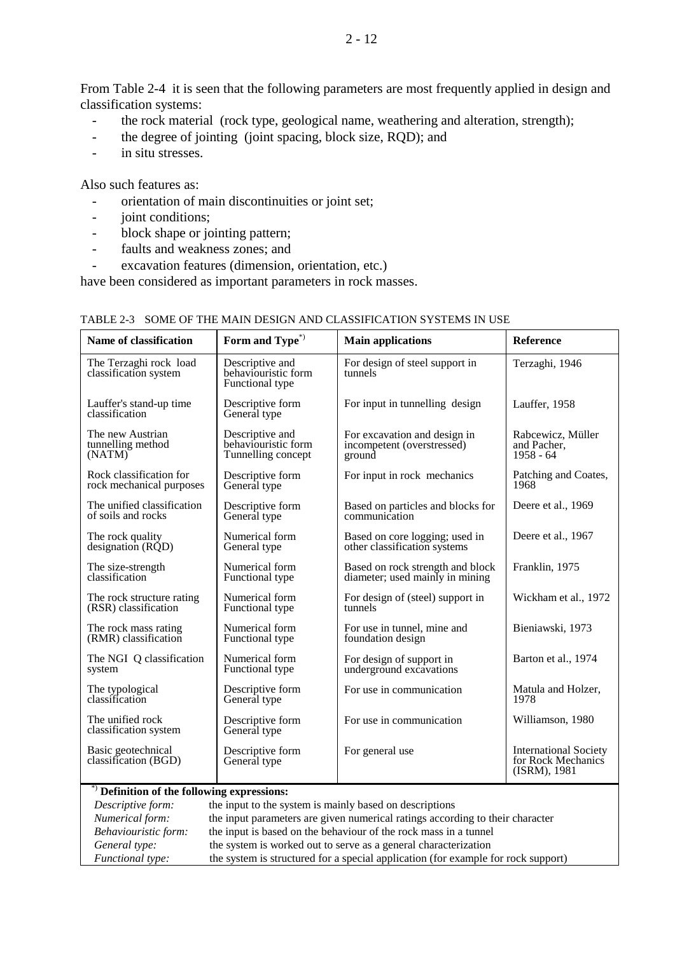From Table 2-4 it is seen that the following parameters are most frequently applied in design and classification systems:

- the rock material (rock type, geological name, weathering and alteration, strength);
- the degree of jointing (joint spacing, block size, RQD); and
- in situ stresses.

Also such features as:

- orientation of main discontinuities or joint set;
- joint conditions;
- block shape or jointing pattern;
- faults and weakness zones; and
- excavation features (dimension, orientation, etc.)

have been considered as important parameters in rock masses.

| <b>Name of classification</b>                   | Form and Type <sup>*</sup> )                              | <b>Main applications</b>                  | Reference                                                          |  |  |  |
|-------------------------------------------------|-----------------------------------------------------------|-------------------------------------------|--------------------------------------------------------------------|--|--|--|
| The Terzaghi rock load<br>classification system | Descriptive and<br>behaviouristic form<br>Functional type | For design of steel support in<br>tunnels | Terzaghi, 1946                                                     |  |  |  |
| Lauffer's stand-up time<br>classification       | Descriptive form<br>General type                          | For input in tunnelling design            | Lauffer, 1958                                                      |  |  |  |
| The new Austrian                                | Descriptive and                                           | For excavation and design in              | Rabcewicz, Müller                                                  |  |  |  |
| tunnelling method                               | behaviouristic form                                       | incompetent (overstressed)                | and Pacher,                                                        |  |  |  |
| (NATM)                                          | Tunnelling concept                                        | ground                                    | $1958 - 64$                                                        |  |  |  |
| Rock classification for                         | Descriptive form                                          | For input in rock mechanics               | Patching and Coates,                                               |  |  |  |
| rock mechanical purposes                        | General type                                              |                                           | 1968                                                               |  |  |  |
| The unified classification                      | Descriptive form                                          | Based on particles and blocks for         | Deere et al., 1969                                                 |  |  |  |
| of soils and rocks                              | General type                                              | communication                             |                                                                    |  |  |  |
| The rock quality                                | Numerical form                                            | Based on core logging; used in            | Deere et al., 1967                                                 |  |  |  |
| designation $(R\ddot{Q}D)$                      | General type                                              | other classification systems              |                                                                    |  |  |  |
| The size-strength                               | Numerical form                                            | Based on rock strength and block          | Franklin, 1975                                                     |  |  |  |
| classification                                  | Functional type                                           | diameter; used mainly in mining           |                                                                    |  |  |  |
| The rock structure rating                       | Numerical form                                            | For design of (steel) support in          | Wickham et al., 1972                                               |  |  |  |
| (RSR) classification                            | Functional type                                           | tunnels                                   |                                                                    |  |  |  |
| The rock mass rating                            | Numerical form                                            | For use in tunnel, mine and               | Bieniawski, 1973                                                   |  |  |  |
| (RMR) classification                            | Functional type                                           | foundation design                         |                                                                    |  |  |  |
| The NGI Q classification                        | Numerical form                                            | For design of support in                  | Barton et al., 1974                                                |  |  |  |
| system                                          | Functional type                                           | underground excavations                   |                                                                    |  |  |  |
| The typological                                 | Descriptive form                                          | For use in communication                  | Matula and Holzer,                                                 |  |  |  |
| classification                                  | General type                                              |                                           | 1978                                                               |  |  |  |
| The unified rock<br>classification system       | Descriptive form<br>General type                          | For use in communication                  | Williamson, 1980                                                   |  |  |  |
| Basic geotechnical<br>classification (BGD)      | Descriptive form<br>General type                          | For general use                           | <b>International Society</b><br>for Rock Mechanics<br>(ISBN), 1981 |  |  |  |

#### TABLE 2-3 SOME OF THE MAIN DESIGN AND CLASSIFICATION SYSTEMS IN USE

#### \*) **Definition of the following expressions:**

| Descriptive form:    | the input to the system is mainly based on descriptions                           |
|----------------------|-----------------------------------------------------------------------------------|
| Numerical form:      | the input parameters are given numerical ratings according to their character     |
| Behaviouristic form: | the input is based on the behaviour of the rock mass in a tunnel                  |
| General type:        | the system is worked out to serve as a general characterization                   |
| Functional type:     | the system is structured for a special application (for example for rock support) |